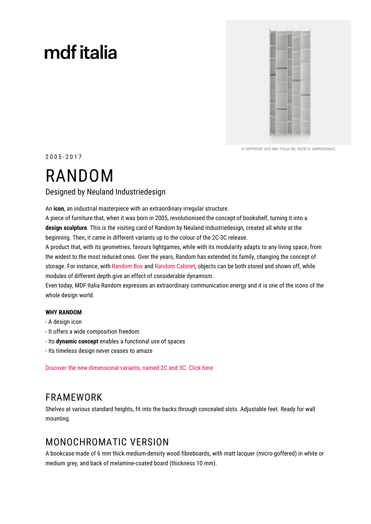# mdf italia



© COPYRIGHT 2022 MDE ITALIA SRL SOCIETA' UNIPERSONALE

 $2005 - 2017$ 

## **RANDOM**

### Designed by Neuland Industriedesign

An icon, an industrial masterpiece with an extraordinary irregular structure.

A piece of furniture that, when it was born in 2005, revolutionised the concept of bookshelf, turning it into a design sculpture. This is the visiting card of Random by Neuland Industriedesign, created all white at the beginning. Then, it came in different variants up to the colour of the 2C-3C release.

A product that, with its geometries, favours lightgames, while with its modularity adapts to any living space, from the widest to the most reduced ones. Over the years, Random has extended its family, changing the concept of storage. For instance, with Random Box and Random Cabinet, objects can be both stored and shown off, while modules of different depth give an effect of considerable dynamism.

Even today, MDF Italia Random expresses an extraordinary communication energy and it is one of the icons of the whole design world.

#### **WHY RANDOM**

- A design icon
- It offers a wide composition freedom
- Its dynamic concept enables a functional use of spaces
- Its timeless design never ceases to amaze

Discover the new dimensional variants, named 2C and 3C. Click here

### **FRAMEWORK**

Shelves at various standard heights, fit into the backs through concealed slots. Adjustable feet. Ready for wall mounting.

### **MONOCHROMATIC VERSION**

A bookcase made of 6 mm thick medium-density wood fibreboards, with matt lacquer (micro-goffered) in white or medium grey, and back of melamine-coated board (thickness 10 mm).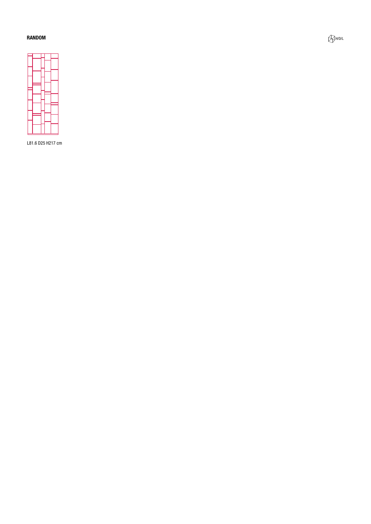#### **RANDOM**



L81.6 D25 H217 cm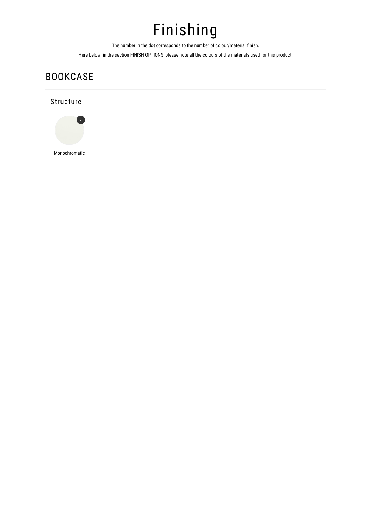## Finishing

The number in the dot corresponds to the number of colour/material finish.

Here below, in the section FINISH OPTIONS, please note all the colours of the materials used for this product.

## **BOOKCASE**

### Structure



Monochromatic